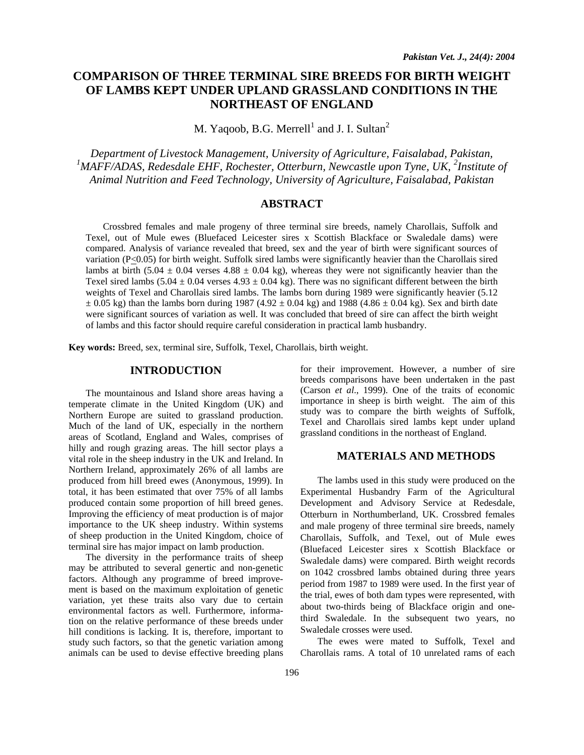# **COMPARISON OF THREE TERMINAL SIRE BREEDS FOR BIRTH WEIGHT OF LAMBS KEPT UNDER UPLAND GRASSLAND CONDITIONS IN THE NORTHEAST OF ENGLAND**

M. Yaqoob, B.G. Merrell<sup>1</sup> and J. I. Sultan<sup>2</sup>

*Department of Livestock Management, University of Agriculture, Faisalabad, Pakistan,*  <sup>1</sup>MAFF/ADAS, Redesdale EHF, Rochester, Otterburn, Newcastle upon Tyne, UK, <sup>2</sup>Institute of *Animal Nutrition and Feed Technology, University of Agriculture, Faisalabad, Pakistan* 

# **ABSTRACT**

Crossbred females and male progeny of three terminal sire breeds, namely Charollais, Suffolk and Texel, out of Mule ewes (Bluefaced Leicester sires x Scottish Blackface or Swaledale dams) were compared. Analysis of variance revealed that breed, sex and the year of birth were significant sources of variation (P<0.05) for birth weight. Suffolk sired lambs were significantly heavier than the Charollais sired lambs at birth (5.04  $\pm$  0.04 verses 4.88  $\pm$  0.04 kg), whereas they were not significantly heavier than the Texel sired lambs (5.04  $\pm$  0.04 verses 4.93  $\pm$  0.04 kg). There was no significant different between the birth weights of Texel and Charollais sired lambs. The lambs born during 1989 were significantly heavier (5.12)  $\pm$  0.05 kg) than the lambs born during 1987 (4.92  $\pm$  0.04 kg) and 1988 (4.86  $\pm$  0.04 kg). Sex and birth date were significant sources of variation as well. It was concluded that breed of sire can affect the birth weight of lambs and this factor should require careful consideration in practical lamb husbandry.

**Key words:** Breed, sex, terminal sire, Suffolk, Texel, Charollais, birth weight.

## **INTRODUCTION**

The mountainous and Island shore areas having a temperate climate in the United Kingdom (UK) and Northern Europe are suited to grassland production. Much of the land of UK, especially in the northern areas of Scotland, England and Wales, comprises of hilly and rough grazing areas. The hill sector plays a vital role in the sheep industry in the UK and Ireland. In Northern Ireland, approximately 26% of all lambs are produced from hill breed ewes (Anonymous, 1999). In total, it has been estimated that over 75% of all lambs produced contain some proportion of hill breed genes. Improving the efficiency of meat production is of major importance to the UK sheep industry. Within systems of sheep production in the United Kingdom, choice of terminal sire has major impact on lamb production.

The diversity in the performance traits of sheep may be attributed to several genertic and non-genetic factors. Although any programme of breed improvement is based on the maximum exploitation of genetic variation, yet these traits also vary due to certain environmental factors as well. Furthermore, information on the relative performance of these breeds under hill conditions is lacking. It is, therefore, important to study such factors, so that the genetic variation among animals can be used to devise effective breeding plans

for their improvement. However, a number of sire breeds comparisons have been undertaken in the past (Carson *et al*., 1999). One of the traits of economic importance in sheep is birth weight. The aim of this study was to compare the birth weights of Suffolk, Texel and Charollais sired lambs kept under upland grassland conditions in the northeast of England.

# **MATERIALS AND METHODS**

The lambs used in this study were produced on the Experimental Husbandry Farm of the Agricultural Development and Advisory Service at Redesdale, Otterburn in Northumberland, UK. Crossbred females and male progeny of three terminal sire breeds, namely Charollais, Suffolk, and Texel, out of Mule ewes (Bluefaced Leicester sires x Scottish Blackface or Swaledale dams) were compared. Birth weight records on 1042 crossbred lambs obtained during three years period from 1987 to 1989 were used. In the first year of the trial, ewes of both dam types were represented, with about two-thirds being of Blackface origin and onethird Swaledale. In the subsequent two years, no Swaledale crosses were used.

The ewes were mated to Suffolk, Texel and Charollais rams. A total of 10 unrelated rams of each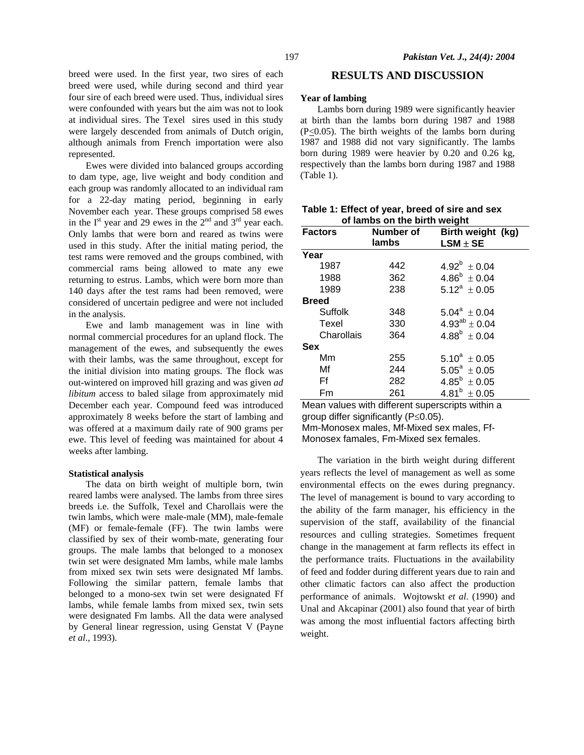breed were used. In the first year, two sires of each breed were used, while during second and third year four sire of each breed were used. Thus, individual sires were confounded with years but the aim was not to look at individual sires. The Texel sires used in this study were largely descended from animals of Dutch origin, although animals from French importation were also represented.

 Ewes were divided into balanced groups according to dam type, age, live weight and body condition and each group was randomly allocated to an individual ram for a 22-day mating period, beginning in early November each year. These groups comprised 58 ewes in the  $I<sup>st</sup>$  year and 29 ewes in the  $2<sup>nd</sup>$  and  $3<sup>rd</sup>$  year each. Only lambs that were born and reared as twins were used in this study. After the initial mating period, the test rams were removed and the groups combined, with commercial rams being allowed to mate any ewe returning to estrus. Lambs, which were born more than 140 days after the test rams had been removed, were considered of uncertain pedigree and were not included in the analysis.

 Ewe and lamb management was in line with normal commercial procedures for an upland flock. The management of the ewes, and subsequently the ewes with their lambs, was the same throughout, except for the initial division into mating groups. The flock was out-wintered on improved hill grazing and was given *ad libitum* access to baled silage from approximately mid December each year. Compound feed was introduced approximately 8 weeks before the start of lambing and was offered at a maximum daily rate of 900 grams per ewe. This level of feeding was maintained for about 4 weeks after lambing.

#### **Statistical analysis**

 The data on birth weight of multiple born, twin reared lambs were analysed. The lambs from three sires breeds i.e. the Suffolk, Texel and Charollais were the twin lambs, which were male-male (MM), male-female (MF) or female-female (FF). The twin lambs were classified by sex of their womb-mate, generating four groups. The male lambs that belonged to a monosex twin set were designated Mm lambs, while male lambs from mixed sex twin sets were designated Mf lambs. Following the similar pattern, female lambs that belonged to a mono-sex twin set were designated Ff lambs, while female lambs from mixed sex, twin sets were designated Fm lambs. All the data were analysed by General linear regression, using Genstat V (Payne *et al*., 1993).

# **RESULTS AND DISCUSSION**

## **Year of lambing**

Lambs born during 1989 were significantly heavier at birth than the lambs born during 1987 and 1988  $(P \le 0.05)$ . The birth weights of the lambs born during 1987 and 1988 did not vary significantly. The lambs born during 1989 were heavier by 0.20 and 0.26 kg, respectively than the lambs born during 1987 and 1988 (Table 1).

| <b>Factors</b> | Number of | Birth weight (kg)<br>$LSM \pm SE$ |  |  |
|----------------|-----------|-----------------------------------|--|--|
|                | lambs     |                                   |  |  |
| Year           |           |                                   |  |  |
| 1987           | 442       | $4.92^b \pm 0.04$                 |  |  |
| 1988           | 362       | $4.86^b \pm 0.04$                 |  |  |
| 1989           | 238       | $5.12^a \pm 0.05$                 |  |  |
| <b>Breed</b>   |           |                                   |  |  |
| Suffolk        | 348       | $5.04^a \pm 0.04$                 |  |  |
| Texel          | 330       | $4.93^{ab} \pm 0.04$              |  |  |
| Charollais     | 364       | $4.88^b \pm 0.04$                 |  |  |
| <b>Sex</b>     |           |                                   |  |  |
| Mm             | 255       | $5.10^a \pm 0.05$                 |  |  |
| Mf             | 244       | $5.05^a \pm 0.05$                 |  |  |
| Ff             | 282       | $4.85^b \pm 0.05$                 |  |  |
| Fm             | 261       | $4.81^b \pm 0.05$                 |  |  |

|                              |  |  |  |  | Table 1: Effect of year, breed of sire and sex |
|------------------------------|--|--|--|--|------------------------------------------------|
| of lambs on the birth weight |  |  |  |  |                                                |

Mean values with different superscripts within a group differ significantly (P≤0.05). Mm-Monosex males, Mf-Mixed sex males, Ff-

Monosex famales, Fm-Mixed sex females.

The variation in the birth weight during different years reflects the level of management as well as some environmental effects on the ewes during pregnancy. The level of management is bound to vary according to the ability of the farm manager, his efficiency in the supervision of the staff, availability of the financial resources and culling strategies. Sometimes frequent change in the management at farm reflects its effect in the performance traits. Fluctuations in the availability of feed and fodder during different years due to rain and other climatic factors can also affect the production performance of animals. Wojtowskt *et al*. (1990) and Unal and Akcapinar (2001) also found that year of birth was among the most influential factors affecting birth weight.